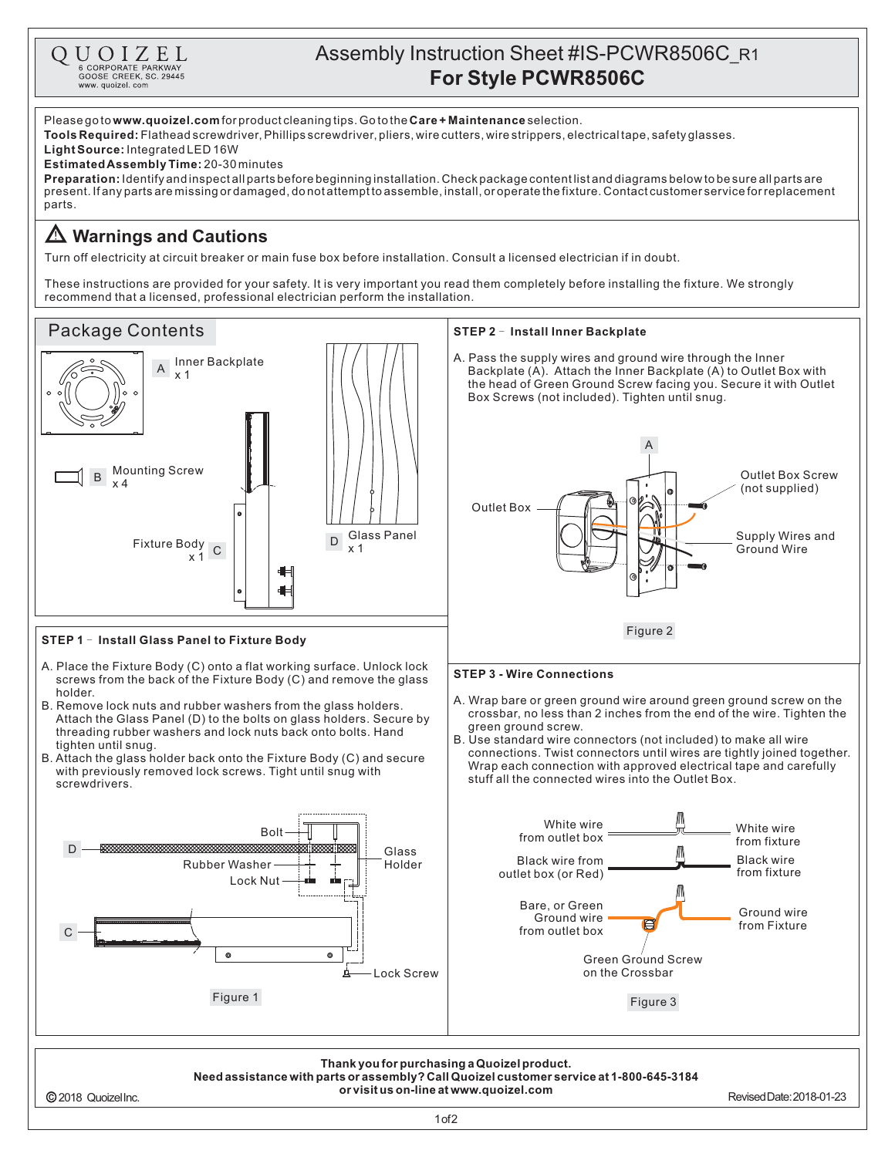